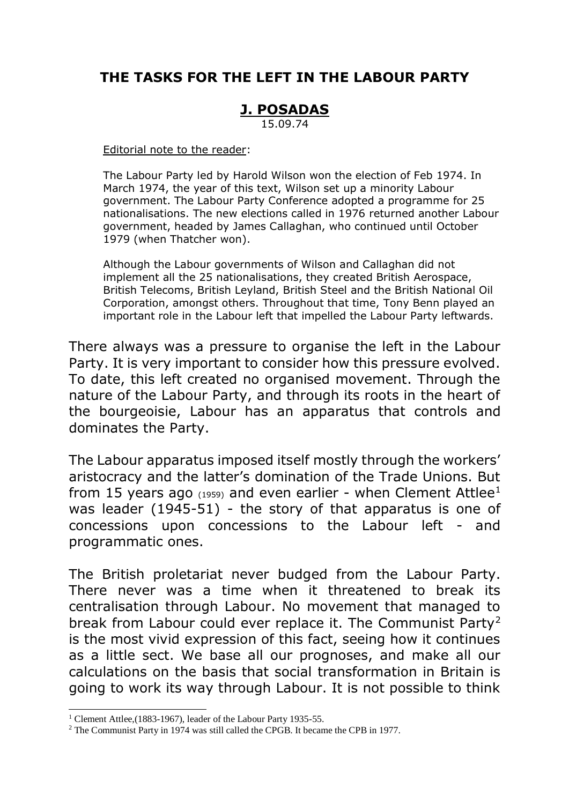# **THE TASKS FOR THE LEFT IN THE LABOUR PARTY**

## **J. POSADAS**

15.09.74

Editorial note to the reader:

The Labour Party led by Harold Wilson won the election of Feb 1974. In March 1974, the year of this text, Wilson set up a minority Labour government. The Labour Party Conference adopted a programme for 25 nationalisations. The new elections called in 1976 returned another Labour government, headed by James Callaghan, who continued until October 1979 (when Thatcher won).

Although the Labour governments of Wilson and Callaghan did not implement all the 25 nationalisations, they created British Aerospace, British Telecoms, British Leyland, British Steel and the British National Oil Corporation, amongst others. Throughout that time, Tony Benn played an important role in the Labour left that impelled the Labour Party leftwards.

There always was a pressure to organise the left in the Labour Party. It is very important to consider how this pressure evolved. To date, this left created no organised movement. Through the nature of the Labour Party, and through its roots in the heart of the bourgeoisie, Labour has an apparatus that controls and dominates the Party.

The Labour apparatus imposed itself mostly through the workers' aristocracy and the latter's domination of the Trade Unions. But from 15 years ago  $(1959)$  and even earlier - when Clement Attlee<sup>1</sup> was leader (1945-51) - the story of that apparatus is one of concessions upon concessions to the Labour left - and programmatic ones.

The British proletariat never budged from the Labour Party. There never was a time when it threatened to break its centralisation through Labour. No movement that managed to break from Labour could ever replace it. The Communist Party<sup>2</sup> is the most vivid expression of this fact, seeing how it continues as a little sect. We base all our prognoses, and make all our calculations on the basis that social transformation in Britain is going to work its way through Labour. It is not possible to think

<sup>&</sup>lt;sup>1</sup> Clement Attlee, (1883-1967), leader of the Labour Party 1935-55.

<sup>&</sup>lt;sup>2</sup> The Communist Party in 1974 was still called the CPGB. It became the CPB in 1977.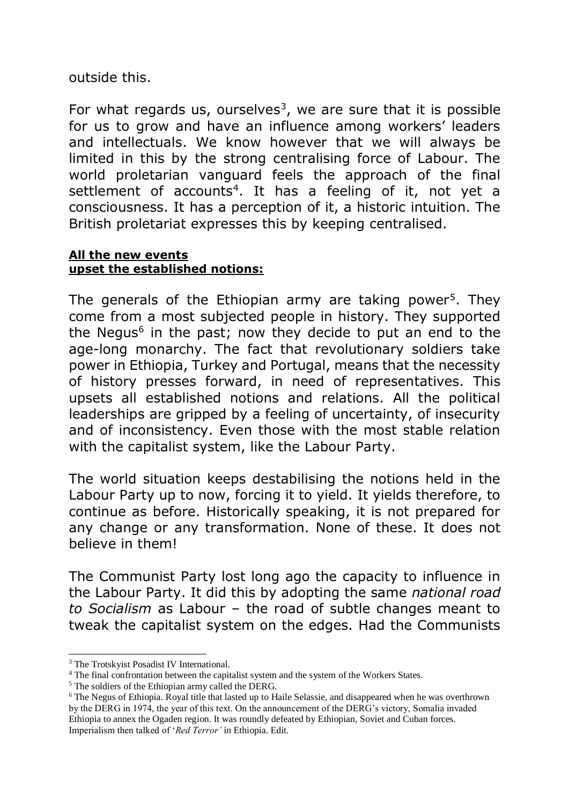outside this.

For what regards us, ourselves<sup>3</sup>, we are sure that it is possible for us to grow and have an influence among workers' leaders and intellectuals. We know however that we will always be limited in this by the strong centralising force of Labour. The world proletarian vanguard feels the approach of the final settlement of accounts<sup>4</sup>. It has a feeling of it, not yet a consciousness. It has a perception of it, a historic intuition. The British proletariat expresses this by keeping centralised.

#### **All the new events upset the established notions:**

The generals of the Ethiopian army are taking power<sup>5</sup>. They come from a most subjected people in history. They supported the Negus<sup>6</sup> in the past; now they decide to put an end to the age-long monarchy. The fact that revolutionary soldiers take power in Ethiopia, Turkey and Portugal, means that the necessity of history presses forward, in need of representatives. This upsets all established notions and relations. All the political leaderships are gripped by a feeling of uncertainty, of insecurity and of inconsistency. Even those with the most stable relation with the capitalist system, like the Labour Party.

The world situation keeps destabilising the notions held in the Labour Party up to now, forcing it to yield. It yields therefore, to continue as before. Historically speaking, it is not prepared for any change or any transformation. None of these. It does not believe in them!

The Communist Party lost long ago the capacity to influence in the Labour Party. It did this by adopting the same *national road to Socialism* as Labour – the road of subtle changes meant to tweak the capitalist system on the edges. Had the Communists

 $\overline{a}$ 

<sup>&</sup>lt;sup>3</sup> The Trotskyist Posadist IV International.

<sup>&</sup>lt;sup>4</sup> The final confrontation between the capitalist system and the system of the Workers States.

<sup>&</sup>lt;sup>5</sup> The soldiers of the Ethiopian army called the DERG.

<sup>6</sup> The Negus of Ethiopia. Royal title that lasted up to Haile Selassie, and disappeared when he was overthrown by the DERG in 1974, the year of this text. On the announcement of the DERG's victory, Somalia invaded Ethiopia to annex the Ogaden region. It was roundly defeated by Ethiopian, Soviet and Cuban forces. Imperialism then talked of '*Red Terror'* in Ethiopia. Edit.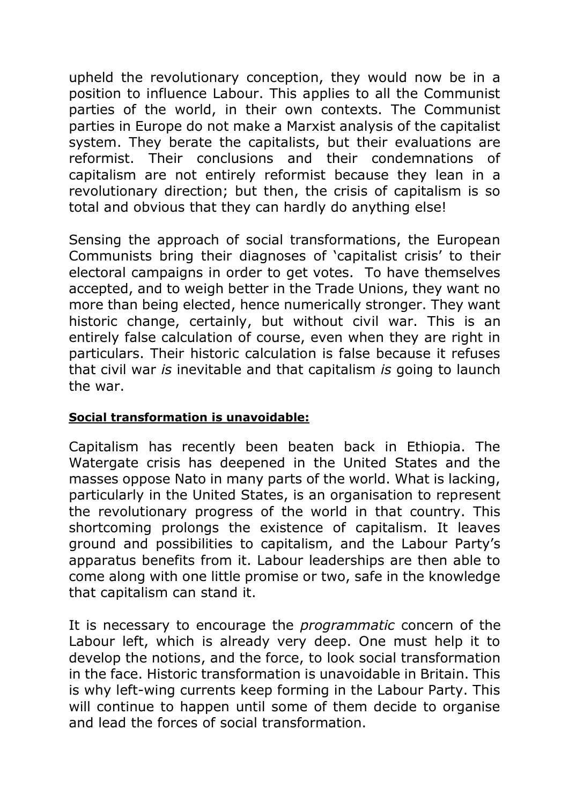upheld the revolutionary conception, they would now be in a position to influence Labour. This applies to all the Communist parties of the world, in their own contexts. The Communist parties in Europe do not make a Marxist analysis of the capitalist system. They berate the capitalists, but their evaluations are reformist. Their conclusions and their condemnations of capitalism are not entirely reformist because they lean in a revolutionary direction; but then, the crisis of capitalism is so total and obvious that they can hardly do anything else!

Sensing the approach of social transformations, the European Communists bring their diagnoses of 'capitalist crisis' to their electoral campaigns in order to get votes. To have themselves accepted, and to weigh better in the Trade Unions, they want no more than being elected, hence numerically stronger. They want historic change, certainly, but without civil war. This is an entirely false calculation of course, even when they are right in particulars. Their historic calculation is false because it refuses that civil war *is* inevitable and that capitalism *is* going to launch the war.

### **Social transformation is unavoidable:**

Capitalism has recently been beaten back in Ethiopia. The Watergate crisis has deepened in the United States and the masses oppose Nato in many parts of the world. What is lacking, particularly in the United States, is an organisation to represent the revolutionary progress of the world in that country. This shortcoming prolongs the existence of capitalism. It leaves ground and possibilities to capitalism, and the Labour Party's apparatus benefits from it. Labour leaderships are then able to come along with one little promise or two, safe in the knowledge that capitalism can stand it.

It is necessary to encourage the *programmatic* concern of the Labour left, which is already very deep. One must help it to develop the notions, and the force, to look social transformation in the face. Historic transformation is unavoidable in Britain. This is why left-wing currents keep forming in the Labour Party. This will continue to happen until some of them decide to organise and lead the forces of social transformation.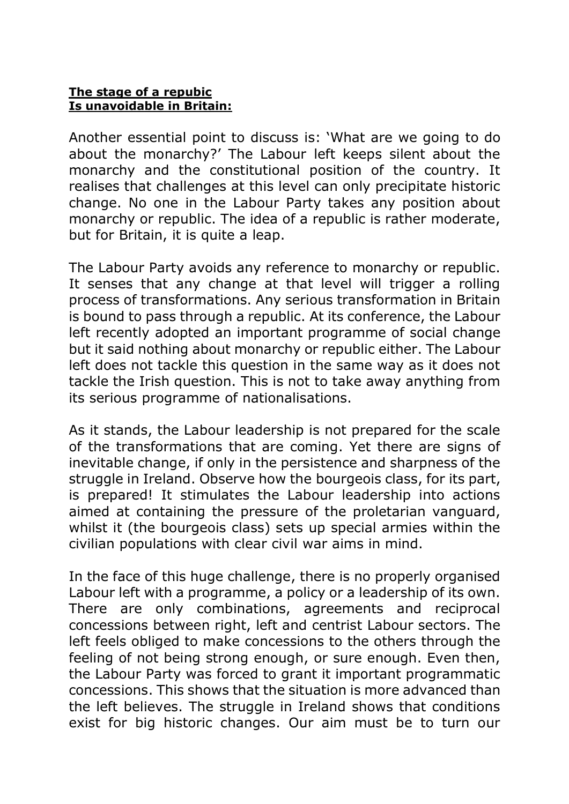#### **The stage of a repubic Is unavoidable in Britain:**

Another essential point to discuss is: 'What are we going to do about the monarchy?' The Labour left keeps silent about the monarchy and the constitutional position of the country. It realises that challenges at this level can only precipitate historic change. No one in the Labour Party takes any position about monarchy or republic. The idea of a republic is rather moderate, but for Britain, it is quite a leap.

The Labour Party avoids any reference to monarchy or republic. It senses that any change at that level will trigger a rolling process of transformations. Any serious transformation in Britain is bound to pass through a republic. At its conference, the Labour left recently adopted an important programme of social change but it said nothing about monarchy or republic either. The Labour left does not tackle this question in the same way as it does not tackle the Irish question. This is not to take away anything from its serious programme of nationalisations.

As it stands, the Labour leadership is not prepared for the scale of the transformations that are coming. Yet there are signs of inevitable change, if only in the persistence and sharpness of the struggle in Ireland. Observe how the bourgeois class, for its part, is prepared! It stimulates the Labour leadership into actions aimed at containing the pressure of the proletarian vanguard, whilst it (the bourgeois class) sets up special armies within the civilian populations with clear civil war aims in mind.

In the face of this huge challenge, there is no properly organised Labour left with a programme, a policy or a leadership of its own. There are only combinations, agreements and reciprocal concessions between right, left and centrist Labour sectors. The left feels obliged to make concessions to the others through the feeling of not being strong enough, or sure enough. Even then, the Labour Party was forced to grant it important programmatic concessions. This shows that the situation is more advanced than the left believes. The struggle in Ireland shows that conditions exist for big historic changes. Our aim must be to turn our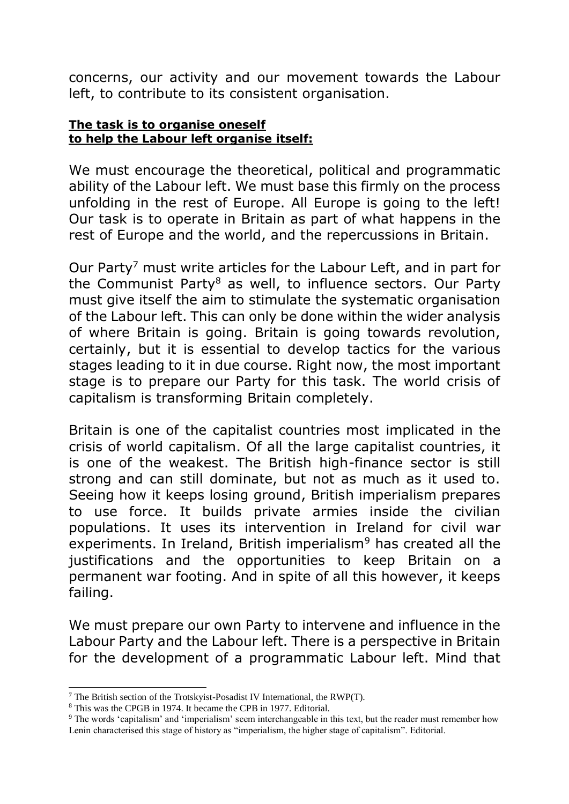concerns, our activity and our movement towards the Labour left, to contribute to its consistent organisation.

#### **The task is to organise oneself to help the Labour left organise itself:**

We must encourage the theoretical, political and programmatic ability of the Labour left. We must base this firmly on the process unfolding in the rest of Europe. All Europe is going to the left! Our task is to operate in Britain as part of what happens in the rest of Europe and the world, and the repercussions in Britain.

Our Party<sup>7</sup> must write articles for the Labour Left, and in part for the Communist Party<sup>8</sup> as well, to influence sectors. Our Party must give itself the aim to stimulate the systematic organisation of the Labour left. This can only be done within the wider analysis of where Britain is going. Britain is going towards revolution, certainly, but it is essential to develop tactics for the various stages leading to it in due course. Right now, the most important stage is to prepare our Party for this task. The world crisis of capitalism is transforming Britain completely.

Britain is one of the capitalist countries most implicated in the crisis of world capitalism. Of all the large capitalist countries, it is one of the weakest. The British high-finance sector is still strong and can still dominate, but not as much as it used to. Seeing how it keeps losing ground, British imperialism prepares to use force. It builds private armies inside the civilian populations. It uses its intervention in Ireland for civil war experiments. In Ireland, British imperialism<sup>9</sup> has created all the justifications and the opportunities to keep Britain on a permanent war footing. And in spite of all this however, it keeps failing.

We must prepare our own Party to intervene and influence in the Labour Party and the Labour left. There is a perspective in Britain for the development of a programmatic Labour left. Mind that

<sup>&</sup>lt;sup>7</sup> The British section of the Trotskyist-Posadist IV International, the RWP(T).

<sup>8</sup> This was the CPGB in 1974. It became the CPB in 1977. Editorial.

<sup>&</sup>lt;sup>9</sup> The words 'capitalism' and 'imperialism' seem interchangeable in this text, but the reader must remember how Lenin characterised this stage of history as "imperialism, the higher stage of capitalism". Editorial.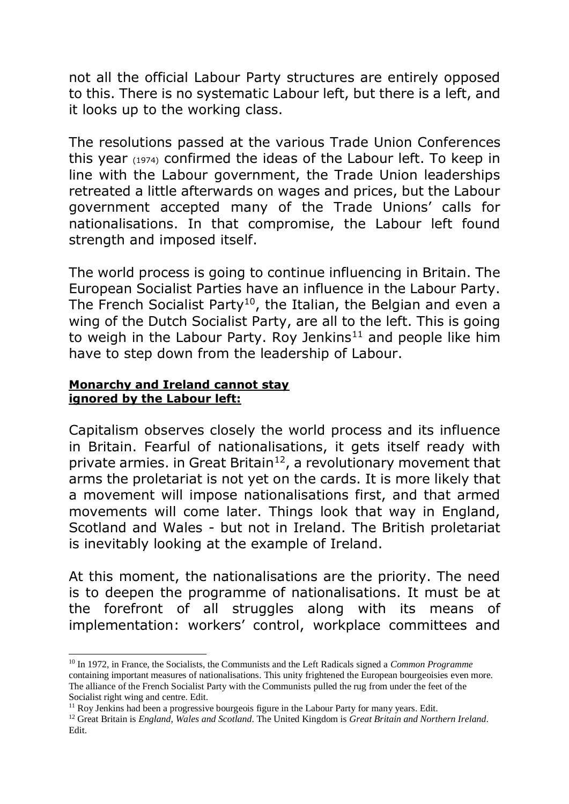not all the official Labour Party structures are entirely opposed to this. There is no systematic Labour left, but there is a left, and it looks up to the working class.

The resolutions passed at the various Trade Union Conferences this year (1974) confirmed the ideas of the Labour left. To keep in line with the Labour government, the Trade Union leaderships retreated a little afterwards on wages and prices, but the Labour government accepted many of the Trade Unions' calls for nationalisations. In that compromise, the Labour left found strength and imposed itself.

The world process is going to continue influencing in Britain. The European Socialist Parties have an influence in the Labour Party. The French Socialist Party<sup>10</sup>, the Italian, the Belgian and even a wing of the Dutch Socialist Party, are all to the left. This is going to weigh in the Labour Party. Roy Jenkins<sup>11</sup> and people like him have to step down from the leadership of Labour.

#### **Monarchy and Ireland cannot stay ignored by the Labour left:**

 $\overline{a}$ 

Capitalism observes closely the world process and its influence in Britain. Fearful of nationalisations, it gets itself ready with private armies. in Great Britain<sup>12</sup>, a revolutionary movement that arms the proletariat is not yet on the cards. It is more likely that a movement will impose nationalisations first, and that armed movements will come later. Things look that way in England, Scotland and Wales - but not in Ireland. The British proletariat is inevitably looking at the example of Ireland.

At this moment, the nationalisations are the priority. The need is to deepen the programme of nationalisations. It must be at the forefront of all struggles along with its means of implementation: workers' control, workplace committees and

<sup>10</sup> In 1972, in France, the Socialists, the Communists and the Left Radicals signed a *Common Programme* containing important measures of nationalisations. This unity frightened the European bourgeoisies even more. The alliance of the French Socialist Party with the Communists pulled the rug from under the feet of the Socialist right wing and centre. Edit.

<sup>&</sup>lt;sup>11</sup> Roy Jenkins had been a progressive bourgeois figure in the Labour Party for many years. Edit.

<sup>12</sup> Great Britain is *England, Wales and Scotland*. The United Kingdom is *Great Britain and Northern Ireland*. Edit.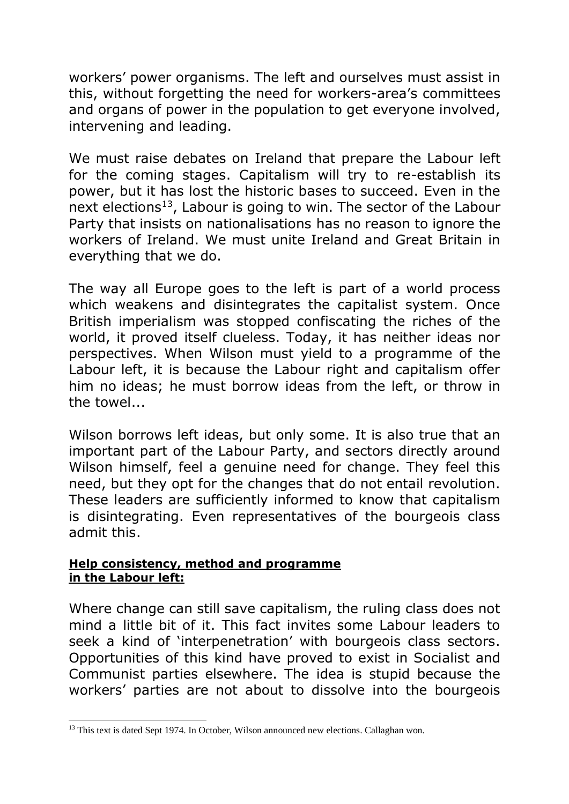workers' power organisms. The left and ourselves must assist in this, without forgetting the need for workers-area's committees and organs of power in the population to get everyone involved, intervening and leading.

We must raise debates on Ireland that prepare the Labour left for the coming stages. Capitalism will try to re-establish its power, but it has lost the historic bases to succeed. Even in the next elections<sup>13</sup>, Labour is going to win. The sector of the Labour Party that insists on nationalisations has no reason to ignore the workers of Ireland. We must unite Ireland and Great Britain in everything that we do.

The way all Europe goes to the left is part of a world process which weakens and disintegrates the capitalist system. Once British imperialism was stopped confiscating the riches of the world, it proved itself clueless. Today, it has neither ideas nor perspectives. When Wilson must yield to a programme of the Labour left, it is because the Labour right and capitalism offer him no ideas; he must borrow ideas from the left, or throw in the towel...

Wilson borrows left ideas, but only some. It is also true that an important part of the Labour Party, and sectors directly around Wilson himself, feel a genuine need for change. They feel this need, but they opt for the changes that do not entail revolution. These leaders are sufficiently informed to know that capitalism is disintegrating. Even representatives of the bourgeois class admit this.

#### **Help consistency, method and programme in the Labour left:**

-

Where change can still save capitalism, the ruling class does not mind a little bit of it. This fact invites some Labour leaders to seek a kind of 'interpenetration' with bourgeois class sectors. Opportunities of this kind have proved to exist in Socialist and Communist parties elsewhere. The idea is stupid because the workers' parties are not about to dissolve into the bourgeois

<sup>&</sup>lt;sup>13</sup> This text is dated Sept 1974. In October, Wilson announced new elections. Callaghan won.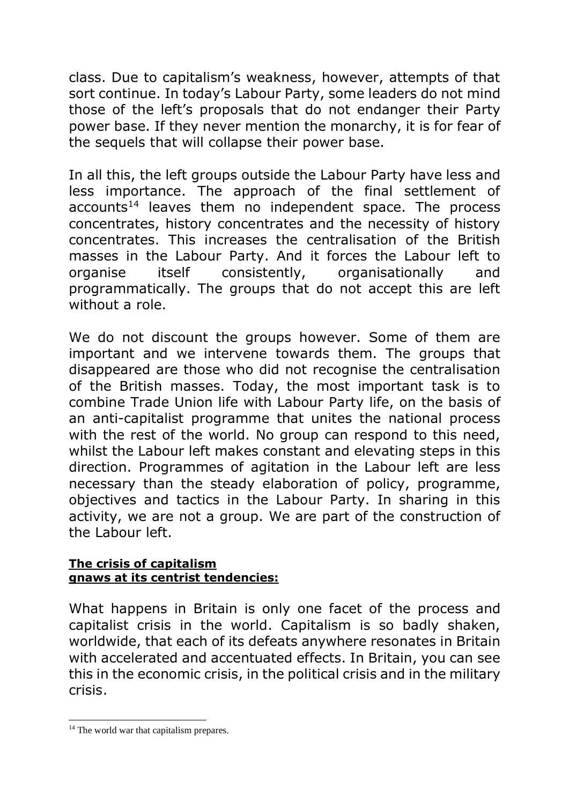class. Due to capitalism's weakness, however, attempts of that sort continue. In today's Labour Party, some leaders do not mind those of the left's proposals that do not endanger their Party power base. If they never mention the monarchy, it is for fear of the sequels that will collapse their power base.

In all this, the left groups outside the Labour Party have less and less importance. The approach of the final settlement of  $accounts<sup>14</sup>$  leaves them no independent space. The process concentrates, history concentrates and the necessity of history concentrates. This increases the centralisation of the British masses in the Labour Party. And it forces the Labour left to organise itself consistently, organisationally and programmatically. The groups that do not accept this are left without a role.

We do not discount the groups however. Some of them are important and we intervene towards them. The groups that disappeared are those who did not recognise the centralisation of the British masses. Today, the most important task is to combine Trade Union life with Labour Party life, on the basis of an anti-capitalist programme that unites the national process with the rest of the world. No group can respond to this need, whilst the Labour left makes constant and elevating steps in this direction. Programmes of agitation in the Labour left are less necessary than the steady elaboration of policy, programme, objectives and tactics in the Labour Party. In sharing in this activity, we are not a group. We are part of the construction of the Labour left.

#### **The crisis of capitalism gnaws at its centrist tendencies:**

What happens in Britain is only one facet of the process and capitalist crisis in the world. Capitalism is so badly shaken, worldwide, that each of its defeats anywhere resonates in Britain with accelerated and accentuated effects. In Britain, you can see this in the economic crisis, in the political crisis and in the military crisis.

<sup>&</sup>lt;sup>14</sup> The world war that capitalism prepares.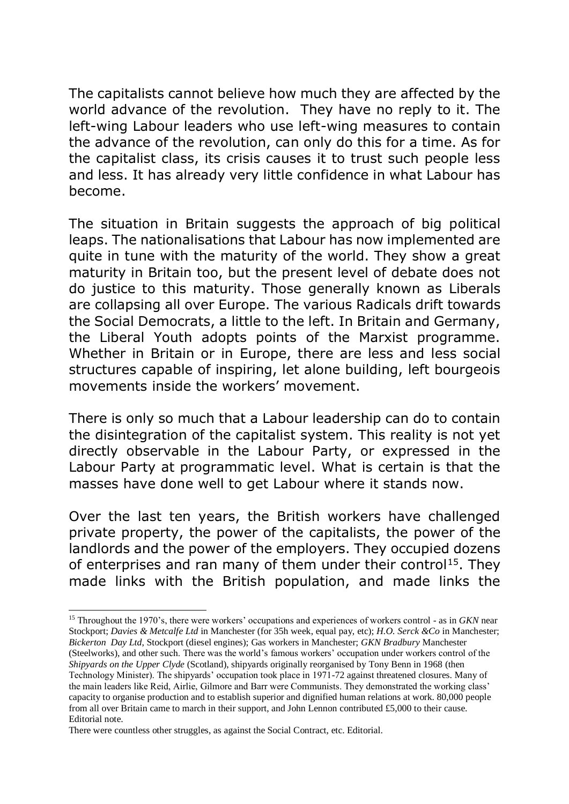The capitalists cannot believe how much they are affected by the world advance of the revolution. They have no reply to it. The left-wing Labour leaders who use left-wing measures to contain the advance of the revolution, can only do this for a time. As for the capitalist class, its crisis causes it to trust such people less and less. It has already very little confidence in what Labour has become.

The situation in Britain suggests the approach of big political leaps. The nationalisations that Labour has now implemented are quite in tune with the maturity of the world. They show a great maturity in Britain too, but the present level of debate does not do justice to this maturity. Those generally known as Liberals are collapsing all over Europe. The various Radicals drift towards the Social Democrats, a little to the left. In Britain and Germany, the Liberal Youth adopts points of the Marxist programme. Whether in Britain or in Europe, there are less and less social structures capable of inspiring, let alone building, left bourgeois movements inside the workers' movement.

There is only so much that a Labour leadership can do to contain the disintegration of the capitalist system. This reality is not yet directly observable in the Labour Party, or expressed in the Labour Party at programmatic level. What is certain is that the masses have done well to get Labour where it stands now.

Over the last ten years, the British workers have challenged private property, the power of the capitalists, the power of the landlords and the power of the employers. They occupied dozens of enterprises and ran many of them under their control<sup>15</sup>. They made links with the British population, and made links the

<sup>15</sup> Throughout the 1970's, there were workers' occupations and experiences of workers control - as in *GKN* near Stockport; *Davies & Metcalfe Ltd* in Manchester (for 35h week, equal pay, etc); *H.O. Serck &Co* in Manchester; *Bickerton Day Ltd*, Stockport (diesel engines); Gas workers in Manchester; *GKN Bradbury* Manchester (Steelworks), and other such. There was the world's famous workers' occupation under workers control of the *Shipyards on the Upper Clyde* (Scotland), shipyards originally reorganised by Tony Benn in 1968 (then Technology Minister). The shipyards' occupation took place in 1971-72 against threatened closures. Many of the main leaders like Reid, Airlie, Gilmore and Barr were Communists. They demonstrated the working class' capacity to organise production and to establish superior and dignified human relations at work. 80,000 people from all over Britain came to march in their support, and John Lennon contributed £5,000 to their cause. Editorial note.

There were countless other struggles, as against the Social Contract, etc. Editorial.